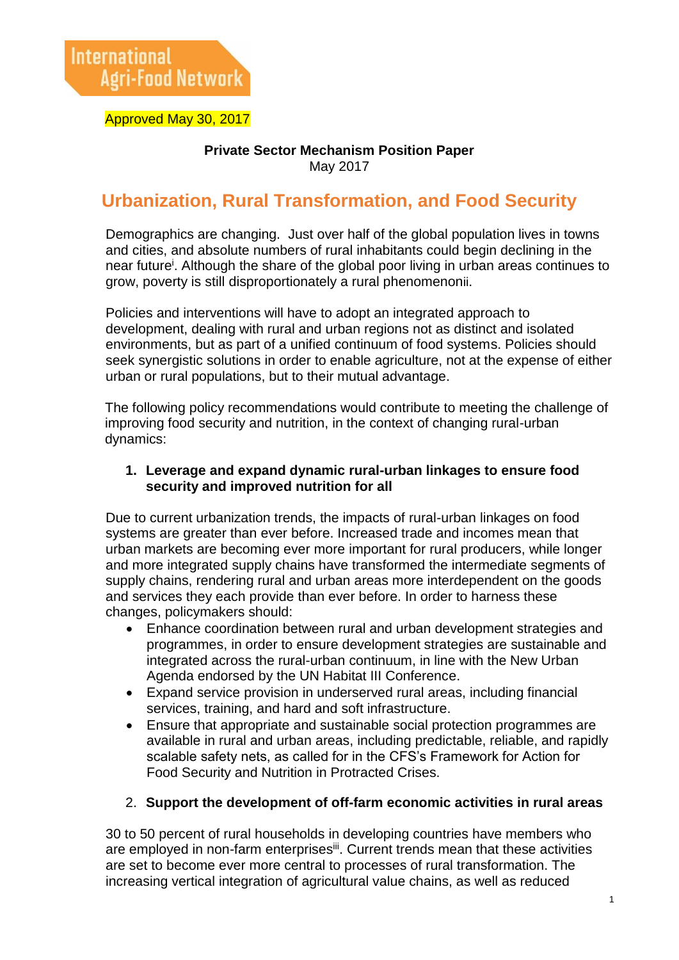Approved May 30, 2017

#### **Private Sector Mechanism Position Paper** May 2017

# **Urbanization, Rural Transformation, and Food Security**

Demographics are changing. Just over half of the global population lives in towns and cities, and absolute numbers of rural inhabitants could begin declining in the near future<sup>i</sup> . Although the share of the global poor living in urban areas continues to grow, poverty is still disproportionately a rural phenomenonii.

Policies and interventions will have to adopt an integrated approach to development, dealing with rural and urban regions not as distinct and isolated environments, but as part of a unified continuum of food systems. Policies should seek synergistic solutions in order to enable agriculture, not at the expense of either urban or rural populations, but to their mutual advantage.

The following policy recommendations would contribute to meeting the challenge of improving food security and nutrition, in the context of changing rural-urban dynamics:

#### **1. Leverage and expand dynamic rural-urban linkages to ensure food security and improved nutrition for all**

Due to current urbanization trends, the impacts of rural-urban linkages on food systems are greater than ever before. Increased trade and incomes mean that urban markets are becoming ever more important for rural producers, while longer and more integrated supply chains have transformed the intermediate segments of supply chains, rendering rural and urban areas more interdependent on the goods and services they each provide than ever before. In order to harness these changes, policymakers should:

- Enhance coordination between rural and urban development strategies and programmes, in order to ensure development strategies are sustainable and integrated across the rural-urban continuum, in line with the New Urban Agenda endorsed by the UN Habitat III Conference.
- Expand service provision in underserved rural areas, including financial services, training, and hard and soft infrastructure.
- Ensure that appropriate and sustainable social protection programmes are available in rural and urban areas, including predictable, reliable, and rapidly scalable safety nets, as called for in the CFS's Framework for Action for Food Security and Nutrition in Protracted Crises.

#### 2. **Support the development of off-farm economic activities in rural areas**

30 to 50 percent of rural households in developing countries have members who are employed in non-farm enterprisesii. Current trends mean that these activities are set to become ever more central to processes of rural transformation. The increasing vertical integration of agricultural value chains, as well as reduced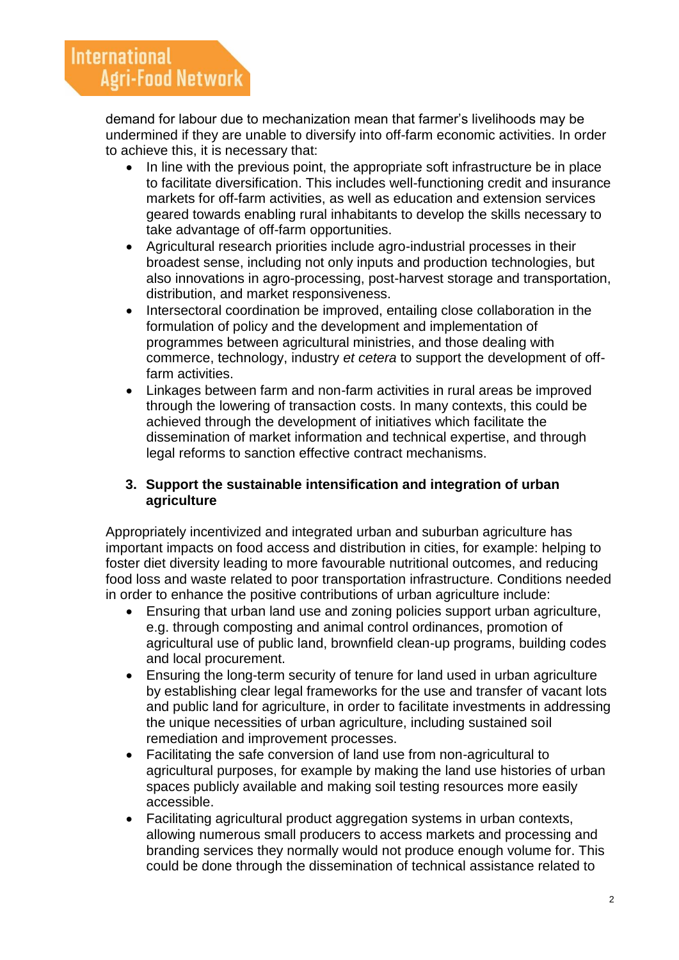demand for labour due to mechanization mean that farmer's livelihoods may be undermined if they are unable to diversify into off-farm economic activities. In order to achieve this, it is necessary that:

- In line with the previous point, the appropriate soft infrastructure be in place to facilitate diversification. This includes well-functioning credit and insurance markets for off-farm activities, as well as education and extension services geared towards enabling rural inhabitants to develop the skills necessary to take advantage of off-farm opportunities.
- Agricultural research priorities include agro-industrial processes in their broadest sense, including not only inputs and production technologies, but also innovations in agro-processing, post-harvest storage and transportation, distribution, and market responsiveness.
- Intersectoral coordination be improved, entailing close collaboration in the formulation of policy and the development and implementation of programmes between agricultural ministries, and those dealing with commerce, technology, industry *et cetera* to support the development of offfarm activities.
- Linkages between farm and non-farm activities in rural areas be improved through the lowering of transaction costs. In many contexts, this could be achieved through the development of initiatives which facilitate the dissemination of market information and technical expertise, and through legal reforms to sanction effective contract mechanisms.

## **3. Support the sustainable intensification and integration of urban agriculture**

Appropriately incentivized and integrated urban and suburban agriculture has important impacts on food access and distribution in cities, for example: helping to foster diet diversity leading to more favourable nutritional outcomes, and reducing food loss and waste related to poor transportation infrastructure. Conditions needed in order to enhance the positive contributions of urban agriculture include:

- Ensuring that urban land use and zoning policies support urban agriculture, e.g. through composting and animal control ordinances, promotion of agricultural use of public land, brownfield clean-up programs, building codes and local procurement.
- Ensuring the long-term security of tenure for land used in urban agriculture by establishing clear legal frameworks for the use and transfer of vacant lots and public land for agriculture, in order to facilitate investments in addressing the unique necessities of urban agriculture, including sustained soil remediation and improvement processes.
- Facilitating the safe conversion of land use from non-agricultural to agricultural purposes, for example by making the land use histories of urban spaces publicly available and making soil testing resources more easily accessible.
- Facilitating agricultural product aggregation systems in urban contexts, allowing numerous small producers to access markets and processing and branding services they normally would not produce enough volume for. This could be done through the dissemination of technical assistance related to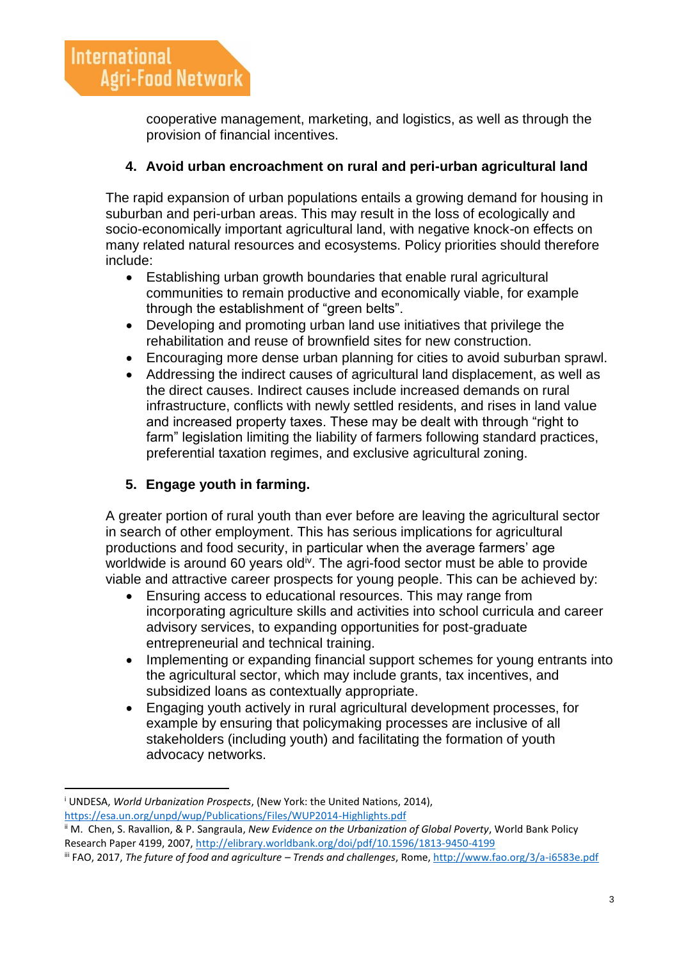cooperative management, marketing, and logistics, as well as through the provision of financial incentives.

## **4. Avoid urban encroachment on rural and peri-urban agricultural land**

The rapid expansion of urban populations entails a growing demand for housing in suburban and peri-urban areas. This may result in the loss of ecologically and socio-economically important agricultural land, with negative knock-on effects on many related natural resources and ecosystems. Policy priorities should therefore include:

- Establishing urban growth boundaries that enable rural agricultural communities to remain productive and economically viable, for example through the establishment of "green belts".
- Developing and promoting urban land use initiatives that privilege the rehabilitation and reuse of brownfield sites for new construction.
- Encouraging more dense urban planning for cities to avoid suburban sprawl.
- Addressing the indirect causes of agricultural land displacement, as well as the direct causes. Indirect causes include increased demands on rural infrastructure, conflicts with newly settled residents, and rises in land value and increased property taxes. These may be dealt with through "right to farm" legislation limiting the liability of farmers following standard practices, preferential taxation regimes, and exclusive agricultural zoning.

# **5. Engage youth in farming.**

A greater portion of rural youth than ever before are leaving the agricultural sector in search of other employment. This has serious implications for agricultural productions and food security, in particular when the average farmers' age worldwide is around 60 years old<sup>iv</sup>. The agri-food sector must be able to provide viable and attractive career prospects for young people. This can be achieved by:

- Ensuring access to educational resources. This may range from incorporating agriculture skills and activities into school curricula and career advisory services, to expanding opportunities for post-graduate entrepreneurial and technical training.
- Implementing or expanding financial support schemes for young entrants into the agricultural sector, which may include grants, tax incentives, and subsidized loans as contextually appropriate.
- Engaging youth actively in rural agricultural development processes, for example by ensuring that policymaking processes are inclusive of all stakeholders (including youth) and facilitating the formation of youth advocacy networks.

 $\overline{a}$ 

<sup>i</sup> UNDESA, *World Urbanization Prospects*, (New York: the United Nations, 2014), <https://esa.un.org/unpd/wup/Publications/Files/WUP2014-Highlights.pdf>

ii M. Chen, S. Ravallion, & P. Sangraula, *New Evidence on the Urbanization of Global Poverty*, World Bank Policy Research Paper 4199, 2007,<http://elibrary.worldbank.org/doi/pdf/10.1596/1813-9450-4199>

iii FAO, 2017, *The future of food and agriculture – Trends and challenges*, Rome,<http://www.fao.org/3/a-i6583e.pdf>